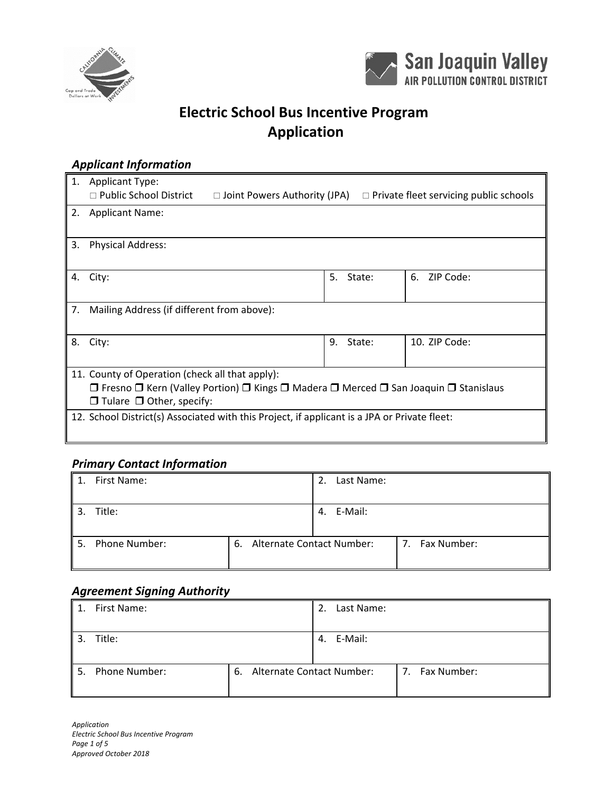



# **Electric School Bus Incentive Program Application**

#### *Applicant Information*

| 1. | <b>Applicant Type:</b>                                                                                                   |    |        |                                               |  |
|----|--------------------------------------------------------------------------------------------------------------------------|----|--------|-----------------------------------------------|--|
|    | $\Box$ Public School District<br>$\Box$ Joint Powers Authority (JPA)                                                     |    |        | $\Box$ Private fleet servicing public schools |  |
|    |                                                                                                                          |    |        |                                               |  |
| 2. | <b>Applicant Name:</b>                                                                                                   |    |        |                                               |  |
|    |                                                                                                                          |    |        |                                               |  |
|    |                                                                                                                          |    |        |                                               |  |
| 3. | <b>Physical Address:</b>                                                                                                 |    |        |                                               |  |
|    |                                                                                                                          |    |        |                                               |  |
|    |                                                                                                                          |    |        |                                               |  |
| 4. | City:                                                                                                                    | 5. | State: | ZIP Code:<br>6.                               |  |
|    |                                                                                                                          |    |        |                                               |  |
|    |                                                                                                                          |    |        |                                               |  |
| 7. | Mailing Address (if different from above):                                                                               |    |        |                                               |  |
|    |                                                                                                                          |    |        |                                               |  |
|    |                                                                                                                          |    |        |                                               |  |
|    |                                                                                                                          |    |        |                                               |  |
| 8. | City:                                                                                                                    | 9. | State: | 10. ZIP Code:                                 |  |
|    |                                                                                                                          |    |        |                                               |  |
|    |                                                                                                                          |    |        |                                               |  |
|    | 11. County of Operation (check all that apply):                                                                          |    |        |                                               |  |
|    | $\Box$ Fresno $\Box$ Kern (Valley Portion) $\Box$ Kings $\Box$ Madera $\Box$ Merced $\Box$ San Joaquin $\Box$ Stanislaus |    |        |                                               |  |
|    |                                                                                                                          |    |        |                                               |  |
|    | $\Box$ Tulare $\Box$ Other, specify:                                                                                     |    |        |                                               |  |
|    | 12. School District(s) Associated with this Project, if applicant is a JPA or Private fleet:                             |    |        |                                               |  |
|    |                                                                                                                          |    |        |                                               |  |
|    |                                                                                                                          |    |        |                                               |  |

### *Primary Contact Information*

|    | First Name:   |    | Last Name:<br>2.          |                   |
|----|---------------|----|---------------------------|-------------------|
|    | Title:        |    | 4. E-Mail:                |                   |
| 5. | Phone Number: | 6. | Alternate Contact Number: | Fax Number:<br>7. |

#### *Agreement Signing Authority*

| 1. | First Name:   |    | Last Name:<br>2.          |                   |
|----|---------------|----|---------------------------|-------------------|
|    | Title:        |    | E-Mail:<br>4.             |                   |
| 5. | Phone Number: | 6. | Alternate Contact Number: | Fax Number:<br>7. |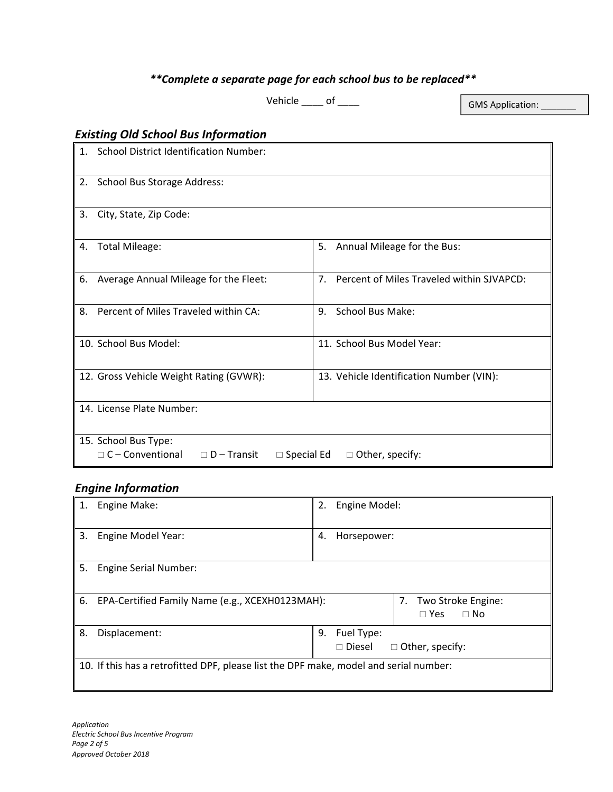## *\*\*Complete a separate page for each school bus to be replaced\*\**

Vehicle  $\rule{1em}{0.15mm}$  of  $\rule{1em}{0.15mm}$ 

GMS Application:

## *Existing Old School Bus Information*

| $\mathbf{1}$ . | <b>School District Identification Number:</b>                                                               |                                                             |  |  |
|----------------|-------------------------------------------------------------------------------------------------------------|-------------------------------------------------------------|--|--|
| 2.             | School Bus Storage Address:                                                                                 |                                                             |  |  |
| 3.             | City, State, Zip Code:                                                                                      |                                                             |  |  |
| 4.             | <b>Total Mileage:</b>                                                                                       | Annual Mileage for the Bus:<br>5.                           |  |  |
| 6.             | Average Annual Mileage for the Fleet:                                                                       | 7 <sub>1</sub><br>Percent of Miles Traveled within SJVAPCD: |  |  |
| 8.             | Percent of Miles Traveled within CA:                                                                        | School Bus Make:<br>9.                                      |  |  |
|                | 10. School Bus Model:                                                                                       | 11. School Bus Model Year:                                  |  |  |
|                | 12. Gross Vehicle Weight Rating (GVWR):                                                                     | 13. Vehicle Identification Number (VIN):                    |  |  |
|                | 14. License Plate Number:                                                                                   |                                                             |  |  |
|                | 15. School Bus Type:<br>C-Conventional<br>$\Box$ D – Transit<br>$\Box$ Special Ed<br>$\Box$ Other, specify: |                                                             |  |  |

### *Engine Information*

|    | Engine Make:                                                                          | 2.                                                             | Engine Model:                                    |  |  |
|----|---------------------------------------------------------------------------------------|----------------------------------------------------------------|--------------------------------------------------|--|--|
| 3. | Engine Model Year:                                                                    | 4.                                                             | Horsepower:                                      |  |  |
| 5. | <b>Engine Serial Number:</b>                                                          |                                                                |                                                  |  |  |
| 6. | EPA-Certified Family Name (e.g., XCEXH0123MAH):                                       |                                                                | 7. Two Stroke Engine:<br>$\Box$ No<br>$\Box$ Yes |  |  |
| 8. | Displacement:                                                                         | Fuel Type:<br>9.<br>$\square$ Diesel<br>$\Box$ Other, specify: |                                                  |  |  |
|    | 10. If this has a retrofitted DPF, please list the DPF make, model and serial number: |                                                                |                                                  |  |  |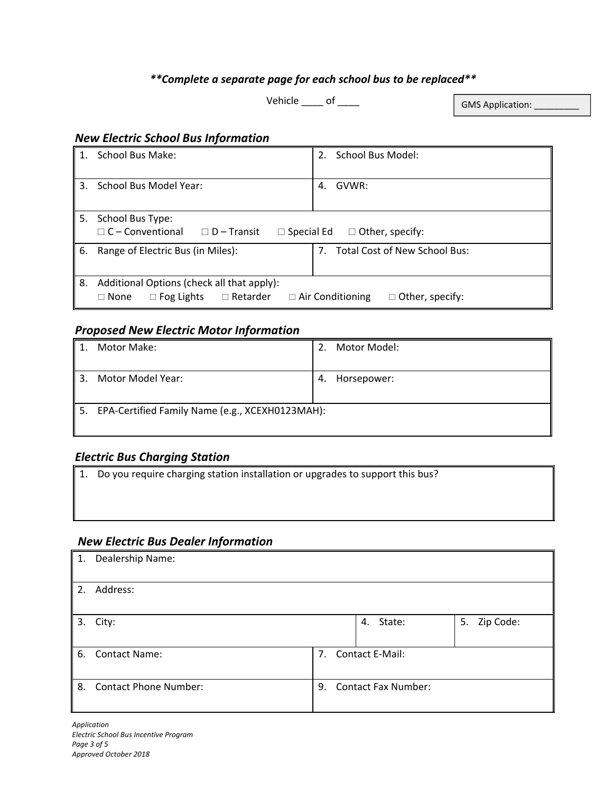### *\*\*Complete a separate page for each school bus to be replaced\*\**

Vehicle \_\_\_\_\_ of \_\_\_\_\_

GMS Application: \_\_\_\_\_\_

#### *New Electric School Bus Information*

|    | School Bus Make:                                                                                                                                       | School Bus Model:<br>2.             |  |  |
|----|--------------------------------------------------------------------------------------------------------------------------------------------------------|-------------------------------------|--|--|
| 3. | School Bus Model Year:                                                                                                                                 | GVWR:<br>4.                         |  |  |
| 5. | School Bus Type:<br>$\Box$ C – Conventional<br>$\Box$ D – Transit<br>$\Box$ Special Ed<br>$\Box$ Other, specify:                                       |                                     |  |  |
| 6. | Range of Electric Bus (in Miles):                                                                                                                      | Total Cost of New School Bus:<br>7. |  |  |
| 8. | Additional Options (check all that apply):<br>$\Box$ Retarder<br>$\Box$ Air Conditioning<br>$\Box$ Other, specify:<br>$\Box$ Fog Lights<br>$\Box$ None |                                     |  |  |

#### *Proposed New Electric Motor Information*

|    | Motor Make:                                        | 2. | Motor Model: |  |  |
|----|----------------------------------------------------|----|--------------|--|--|
| 3. | Motor Model Year:                                  | 4. | Horsepower:  |  |  |
|    | 5. EPA-Certified Family Name (e.g., XCEXH0123MAH): |    |              |  |  |

#### *Electric Bus Charging Station*

1. Do you require charging station installation or upgrades to support this bus?

#### *New Electric Bus Dealer Information*

| 1. | Dealership Name:             |                |                            |                 |  |
|----|------------------------------|----------------|----------------------------|-----------------|--|
| 2. | Address:                     |                |                            |                 |  |
| 3. | City:                        |                | 4. State:                  | Zip Code:<br>5. |  |
|    | 6. Contact Name:             | 7 <sub>1</sub> | Contact E-Mail:            |                 |  |
| 8. | <b>Contact Phone Number:</b> | 9.             | <b>Contact Fax Number:</b> |                 |  |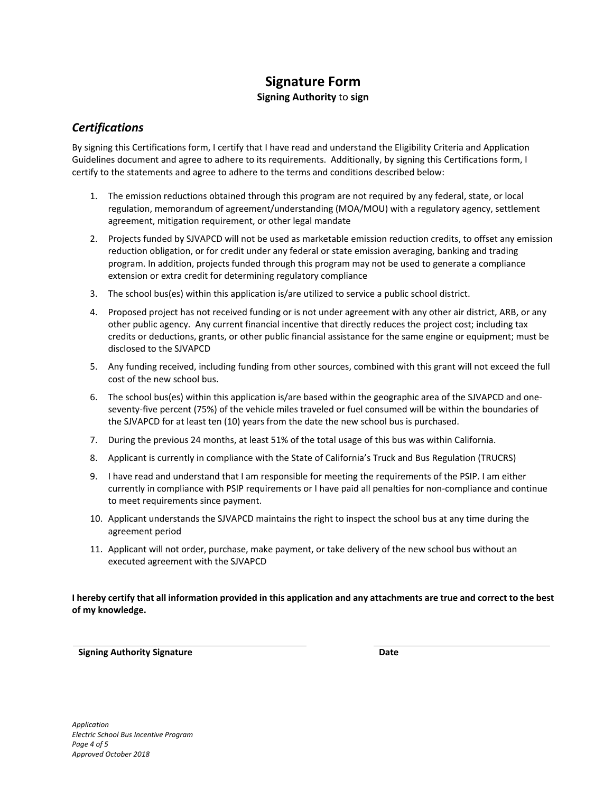# **Signature Form**

#### **Signing Authority** to **sign**

#### *Certifications*

By signing this Certifications form, I certify that I have read and understand the Eligibility Criteria and Application Guidelines document and agree to adhere to its requirements. Additionally, by signing this Certifications form, I certify to the statements and agree to adhere to the terms and conditions described below:

- 1. The emission reductions obtained through this program are not required by any federal, state, or local regulation, memorandum of agreement/understanding (MOA/MOU) with a regulatory agency, settlement agreement, mitigation requirement, or other legal mandate
- 2. Projects funded by SJVAPCD will not be used as marketable emission reduction credits, to offset any emission reduction obligation, or for credit under any federal or state emission averaging, banking and trading program. In addition, projects funded through this program may not be used to generate a compliance extension or extra credit for determining regulatory compliance
- 3. The school bus(es) within this application is/are utilized to service a public school district.
- 4. Proposed project has not received funding or is not under agreement with any other air district, ARB, or any other public agency. Any current financial incentive that directly reduces the project cost; including tax credits or deductions, grants, or other public financial assistance for the same engine or equipment; must be disclosed to the SJVAPCD
- 5. Any funding received, including funding from other sources, combined with this grant will not exceed the full cost of the new school bus.
- 6. The school bus(es) within this application is/are based within the geographic area of the SJVAPCD and one‐ seventy-five percent (75%) of the vehicle miles traveled or fuel consumed will be within the boundaries of the SJVAPCD for at least ten (10) years from the date the new school bus is purchased.
- 7. During the previous 24 months, at least 51% of the total usage of this bus was within California.
- 8. Applicant is currently in compliance with the State of California's Truck and Bus Regulation (TRUCRS)
- 9. I have read and understand that I am responsible for meeting the requirements of the PSIP. I am either currently in compliance with PSIP requirements or I have paid all penalties for non‐compliance and continue to meet requirements since payment.
- 10. Applicant understands the SJVAPCD maintains the right to inspect the school bus at any time during the agreement period
- 11. Applicant will not order, purchase, make payment, or take delivery of the new school bus without an executed agreement with the SJVAPCD

**I hereby certify that all information provided in this application and any attachments are true and correct to the best of my knowledge.** 

**Signing Authority Signature Date**